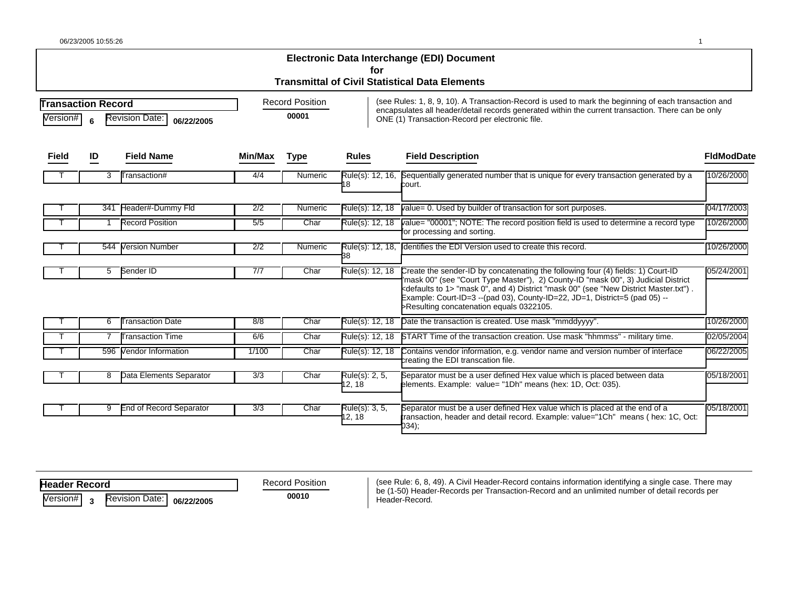| 06/23/2005 10:55:26 |  |  |
|---------------------|--|--|
|                     |  |  |

|                                                                                   |     |                                |                                 |             | for                      | Electronic Data Interchange (EDI) Document<br><b>Transmittal of Civil Statistical Data Elements</b>                                                                                                                                                                                                                                                                                                            |                   |  |  |
|-----------------------------------------------------------------------------------|-----|--------------------------------|---------------------------------|-------------|--------------------------|----------------------------------------------------------------------------------------------------------------------------------------------------------------------------------------------------------------------------------------------------------------------------------------------------------------------------------------------------------------------------------------------------------------|-------------------|--|--|
| <b>Transaction Record</b><br><b>Revision Date:</b><br>Version#<br>6<br>06/22/2005 |     |                                | <b>Record Position</b><br>00001 |             |                          | (see Rules: 1, 8, 9, 10). A Transaction-Record is used to mark the beginning of each transaction and<br>encapsulates all header/detail records generated within the current transaction. There can be only<br>ONE (1) Transaction-Record per electronic file.                                                                                                                                                  |                   |  |  |
| Field                                                                             | ID  | <b>Field Name</b>              | Min/Max                         | <b>Type</b> | <b>Rules</b>             | <b>Field Description</b>                                                                                                                                                                                                                                                                                                                                                                                       | <b>FidModDate</b> |  |  |
|                                                                                   | 3   | Transaction#                   | 4/4                             | Numeric     | Rule(s): 12, 16,<br>8    | Sequentially generated number that is unique for every transaction generated by a<br>court.                                                                                                                                                                                                                                                                                                                    | 10/26/2000        |  |  |
|                                                                                   |     | 341 Header#-Dummy Fld          | 2/2                             | Numeric     | Rule(s): 12, 18          | value= 0. Used by builder of transaction for sort purposes.                                                                                                                                                                                                                                                                                                                                                    | 04/17/2003        |  |  |
|                                                                                   |     | <b>Record Position</b>         | 5/5                             | Char        | Rule(s): 12, 18          | value= "00001"; NOTE: The record position field is used to determine a record type<br>or processing and sorting.                                                                                                                                                                                                                                                                                               | 10/26/2000        |  |  |
|                                                                                   | 544 | Version Number                 | $\overline{2/2}$                | Numeric     | Rule(s): 12, 18,<br>38   | Identifies the EDI Version used to create this record.                                                                                                                                                                                                                                                                                                                                                         | 10/26/2000        |  |  |
|                                                                                   | 5.  | Sender ID                      | 7/7                             | Char        | Rule(s): 12, 18          | Create the sender-ID by concatenating the following four (4) fields: 1) Court-ID<br>'mask 00" (see "Court Type Master"), 2) County-ID "mask 00", 3) Judicial District<br><defaults 1="" to=""> "mask 0", and 4) District "mask 00" (see "New District Master.txt").<br/>Example: Court-ID=3 -- (pad 03), County-ID=22, JD=1, District=5 (pad 05) --<br/>&gt;Resulting concatenation equals 0322105.</defaults> | 05/24/2001        |  |  |
|                                                                                   | 6   | <b>Transaction Date</b>        | 8/8                             | Char        | Rule(s): 12, 18          | Date the transaction is created. Use mask "mmddyyyy".                                                                                                                                                                                                                                                                                                                                                          | 10/26/2000        |  |  |
|                                                                                   |     | <b>Transaction Time</b>        | 6/6                             | Char        | Rule(s): 12, 18          | START Time of the transaction creation. Use mask "hhmmss" - military time.                                                                                                                                                                                                                                                                                                                                     | 02/05/2004        |  |  |
|                                                                                   |     | 596 Vendor Information         | 1/100                           | Char        | Rule(s): 12, 18          | Contains vendor information, e.g. vendor name and version number of interface<br>creating the EDI transcation file.                                                                                                                                                                                                                                                                                            | 06/22/2005        |  |  |
|                                                                                   | 8   | Data Elements Separator        | 3/3                             | Char        | Rule(s): 2, 5,<br>12, 18 | Separator must be a user defined Hex value which is placed between data<br>elements. Example: value= "1Dh" means (hex: 1D, Oct: 035).                                                                                                                                                                                                                                                                          | 05/18/2001        |  |  |
|                                                                                   | 9   | <b>End of Record Separator</b> | 3/3                             | Char        | Rule(s): 3, 5,<br>12, 18 | Separator must be a user defined Hex value which is placed at the end of a<br>transaction, header and detail record. Example: value="1Ch" means ( hex: 1C, Oct:<br>034);                                                                                                                                                                                                                                       | 05/18/2001        |  |  |

**H eader Record** 

Record Position

Version# **<sup>3</sup>** Revision Date: **06/22/2005** 

(see Rule: 6, 8, 49). A Civil Header-Record contains information identifying a single case. There may **00010** be (1-50) Header-Records per Transaction-Record and an unlimited number of detail records per Header-Record.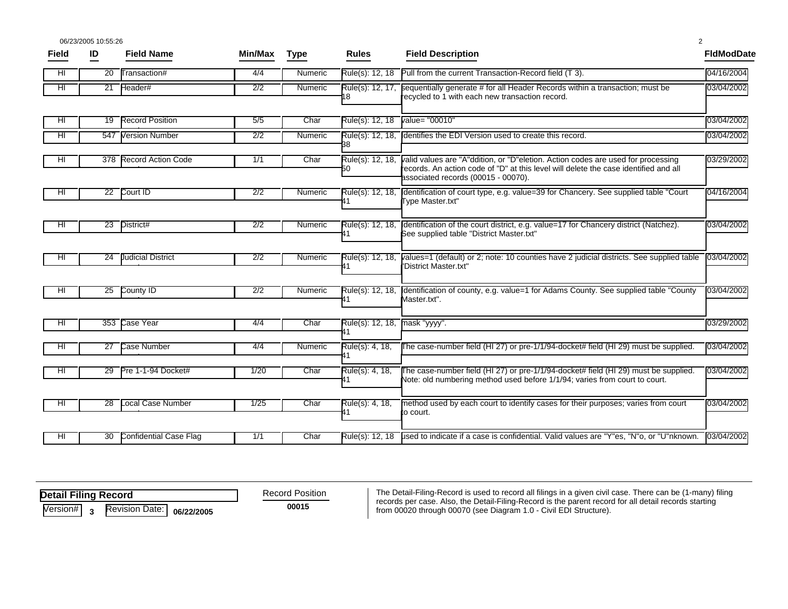|              | 06/23/2005 10:55:26 |                           |                  |             |                        |                                                                                                                                                                                                                 | 2                 |
|--------------|---------------------|---------------------------|------------------|-------------|------------------------|-----------------------------------------------------------------------------------------------------------------------------------------------------------------------------------------------------------------|-------------------|
| <b>Field</b> | ID                  | <b>Field Name</b>         | Min/Max          | <b>Type</b> | <b>Rules</b>           | <b>Field Description</b>                                                                                                                                                                                        | <b>FidModDate</b> |
| HI           | 20                  | Transaction#              | 4/4              | Numeric     | Rule(s): 12, 18        | Pull from the current Transaction-Record field (T 3).                                                                                                                                                           | 04/16/2004        |
| HI           | 21                  | Header#                   | 2/2              | Numeric     | Rule(s): 12, 17,<br>18 | sequentially generate # for all Header Records within a transaction; must be<br>recycled to 1 with each new transaction record.                                                                                 | 03/04/2002        |
| HI           | 19                  | <b>Record Position</b>    | 5/5              | Char        | Rule(s): 12, 18        | value= "00010"                                                                                                                                                                                                  | 03/04/2002        |
| ΗL           | 547                 | <b>Version Number</b>     | $\overline{2/2}$ | Numeric     | Rule(s): 12, 18,<br>38 | Identifies the EDI Version used to create this record.                                                                                                                                                          | 03/04/2002        |
| HL           | 378                 | <b>Record Action Code</b> | 1/1              | Char        | Rule(s): 12, 18,<br>50 | valid values are "A"ddition, or "D"eletion. Action codes are used for processing<br>records. An action code of "D" at this level will delete the case identified and all<br>associated records (00015 - 00070). | 03/29/2002        |
| HL           | 22                  | Court ID                  | 2/2              | Numeric     | Rule(s): 12, 18,       | dentification of court type, e.g. value=39 for Chancery. See supplied table "Court"<br>Type Master.txt"                                                                                                         | 04/16/2004        |
| HL           | 23                  | District#                 | 2/2              | Numeric     | Rule(s): 12, 18,       | Identification of the court district, e.g. value=17 for Chancery district (Natchez).<br>See supplied table "District Master.txt"                                                                                | 03/04/2002        |
| HL           | 24                  | <b>Judicial District</b>  | 2/2              | Numeric     | Rule(s): 12, 18,       | values=1 (default) or 2; note: 10 counties have 2 judicial districts. See supplied table<br>"District Master.txt"                                                                                               | 03/04/2002        |
| HL           | 25                  | County ID                 | 2/2              | Numeric     | Rule(s): 12, 18,       | Identification of county, e.g. value=1 for Adams County. See supplied table "County"<br>Master.txt".                                                                                                            | 03/04/2002        |
| HI.          | 353                 | Case Year                 | 4/4              | Char        | Rule(s): 12, 18,       | mask "yyyy".                                                                                                                                                                                                    | 03/29/2002        |
| HI           | $\overline{27}$     | Case Number               | 4/4              | Numeric     | Rule(s): 4, 18,<br>11  | The case-number field (HI 27) or pre-1/1/94-docket# field (HI 29) must be supplied.                                                                                                                             | 03/04/2002        |
| HI           | $\overline{29}$     | Pre 1-1-94 Docket#        | 1/20             | Char        | Rule(s): 4, 18,        | The case-number field (HI 27) or pre-1/1/94-docket# field (HI 29) must be supplied.<br>Note: old numbering method used before 1/1/94; varies from court to court.                                               | 03/04/2002        |
| HI           | 28                  | Local Case Number         | 1/25             | Char        | Rule(s): 4, 18,        | method used by each court to identify cases for their purposes; varies from court<br>to court.                                                                                                                  | 03/04/2002        |
| HI           | 30                  | Confidential Case Flag    | 1/1              | Char        | Rule(s): 12, 18        | used to indicate if a case is confidential. Valid values are "Y"es, "N"o, or "U"nknown.                                                                                                                         | 03/04/2002        |

**Detail Filing Record** 

Record Position

Version# **3** Revision Date: **06/22/2005** 

The Detail-Filing-Record is used to record all filings in a given civil case. There can be (1-many) filing **00015** records per case. Also, the Detail-Filing-Record is the parent record for all detail records starting **00015**<br>from 00020 through 00070 (see Diagram 1.0 - Civil EDI Structure).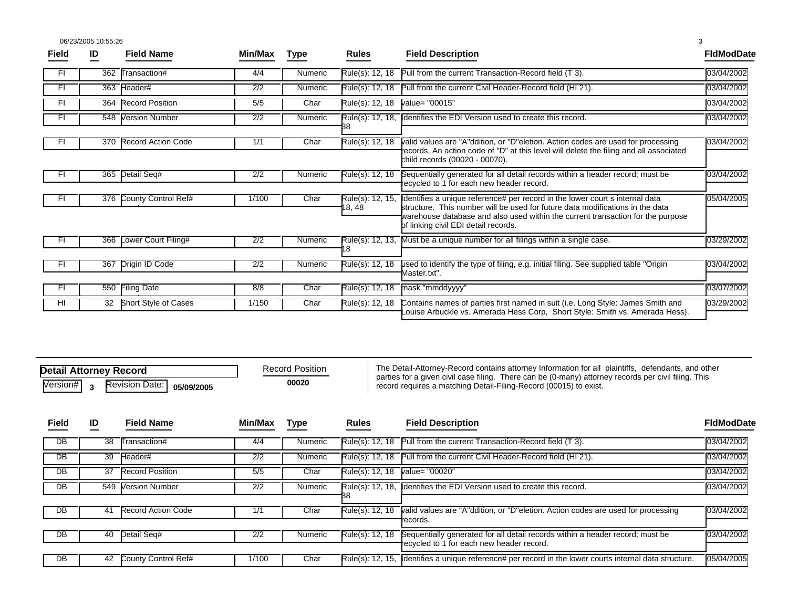06/23/2005 10:55:26 3

| Field | ID  | <b>Field Name</b>         | Min/Max | <b>Type</b> | <b>Rules</b>               | <b>Field Description</b>                                                                                                                                                                                                                                                                | <b>FIdModDate</b> |
|-------|-----|---------------------------|---------|-------------|----------------------------|-----------------------------------------------------------------------------------------------------------------------------------------------------------------------------------------------------------------------------------------------------------------------------------------|-------------------|
| FI    | 362 | Transaction#              | 4/4     | Numeric     | Rule(s): 12, 18            | Pull from the current Transaction-Record field (T 3).                                                                                                                                                                                                                                   | 03/04/2002        |
| FI    |     | 363 Header#               | 2/2     | Numeric     | Rule(s): 12, 18            | Pull from the current Civil Header-Record field (HI 21).                                                                                                                                                                                                                                | 03/04/2002        |
| FI    |     | 364 Record Position       | 5/5     | Char        | Rule(s): 12, 18            | value= "00015"                                                                                                                                                                                                                                                                          | 03/04/2002        |
| FI    | 548 | <b>Version Number</b>     | 2/2     | Numeric     | Rule(s): 12, 18,           | Identifies the EDI Version used to create this record.                                                                                                                                                                                                                                  | 03/04/2002        |
| FI    | 370 | <b>Record Action Code</b> | 1/1     | Char        | Rule(s): 12, 18            | valid values are "A"ddition, or "D"eletion. Action codes are used for processing<br>ecords. An action code of "D" at this level will delete the filing and all associated<br>child records (00020 - 00070).                                                                             | 03/04/2002        |
|       | 365 | Detail Seq#               | 2/2     | Numeric     | Rule(s): 12, 18            | Sequentially generated for all detail records within a header record; must be<br>ecycled to 1 for each new header record.                                                                                                                                                               | 03/04/2002        |
| -FI   |     | 376 County Control Ref#   | 1/100   | Char        | Rule(s): 12, 15,<br>18, 48 | dentifies a unique reference# per record in the lower court s internal data<br>structure. This number will be used for future data modifications in the data<br>warehouse database and also used within the current transaction for the purpose<br>of linking civil EDI detail records. | 05/04/2005        |
|       | 366 | Lower Court Filing#       | 2/2     | Numeric     | 8                          | Rule(s): 12, 13, Must be a unique number for all filings within a single case.                                                                                                                                                                                                          | 03/29/2002        |
| FI    | 367 | Origin ID Code            | 2/2     | Numeric     | Rule(s): 12, 18            | used to identify the type of filing, e.g. initial filing. See supplied table "Origin"<br>Aaster.txt".                                                                                                                                                                                   | 03/04/2002        |
| FI    | 550 | Filing Date               | 8/8     | Char        | Rule(s): 12, 18            | mask "mmddyyyy"                                                                                                                                                                                                                                                                         | 03/07/2002        |
| HI    |     | 32 Short Style of Cases   | 1/150   | Char        | Rule(s): 12, 18            | Contains names of parties first named in suit (i.e, Long Style: James Smith and<br>Louise Arbuckle vs. Amerada Hess Corp, Short Style: Smith vs. Amerada Hess).                                                                                                                         | 03/29/2002        |

| <b>Detail Attorney Record</b> |  |                                                           |  |  |  |  |  |
|-------------------------------|--|-----------------------------------------------------------|--|--|--|--|--|
|                               |  | $\overline{\text{Version}\#}$ 3 Revision Date: 05/09/2005 |  |  |  |  |  |

The Detail-Attorney-Record contains attorney Information for all plaintiffs, defendants, and other parties for a given civil case filing. There can be (0-many) attorney records per civil filing. This record requires a matching Detail-Filing-Record (00015) to exist.

| Field           | ID | <b>Field Name</b>         | Min/Max | <b>Type</b> | <b>Rules</b>      | <b>Field Description</b>                                                                                | <b>FIdModDate</b> |
|-----------------|----|---------------------------|---------|-------------|-------------------|---------------------------------------------------------------------------------------------------------|-------------------|
| DB              | 38 | Transaction#              | 4/4     | Numeric     | Rule(s): $12, 18$ | Pull from the current Transaction-Record field (T 3).                                                   | 03/04/2002        |
| $\overline{DB}$ | 39 | Header#                   | 2/2     | Numeric     | Rule(s): 12. 18   | Pull from the current Civil Header-Record field (HI 21).                                                | 03/04/2002        |
| $\overline{DB}$ | 37 | <b>Record Position</b>    | 5/5     | Char        | Rule(s): 12. 18   | value= "00020"                                                                                          | 03/04/2002        |
| $\overline{DB}$ |    | 549 Version Number        | 2/2     | Numeric     |                   | Rule(s): 12, 18, Identifies the EDI Version used to create this record.                                 | 03/04/2002        |
|                 |    |                           |         |             |                   |                                                                                                         |                   |
| DB              | 41 | <b>Record Action Code</b> | 1/1     | Char        | Rule(s): 12, 18   | valid values are "A"ddition, or "D"eletion. Action codes are used for processing                        | 03/04/2002        |
|                 |    |                           |         |             |                   | records.                                                                                                |                   |
| $\overline{DB}$ | 40 | Detail Seq#               | 2/2     | Numeric     | Rule(s): 12, 18   | Sequentially generated for all detail records within a header record; must be                           | 03/04/2002        |
|                 |    |                           |         |             |                   | recycled to 1 for each new header record.                                                               |                   |
| $\overline{DB}$ | 42 | County Control Ref#       | 1/100   | Char        |                   | Rule(s): 12, 15, Identifies a unique reference# per record in the lower courts internal data structure. | 05/04/2005        |

**00020**  Record Position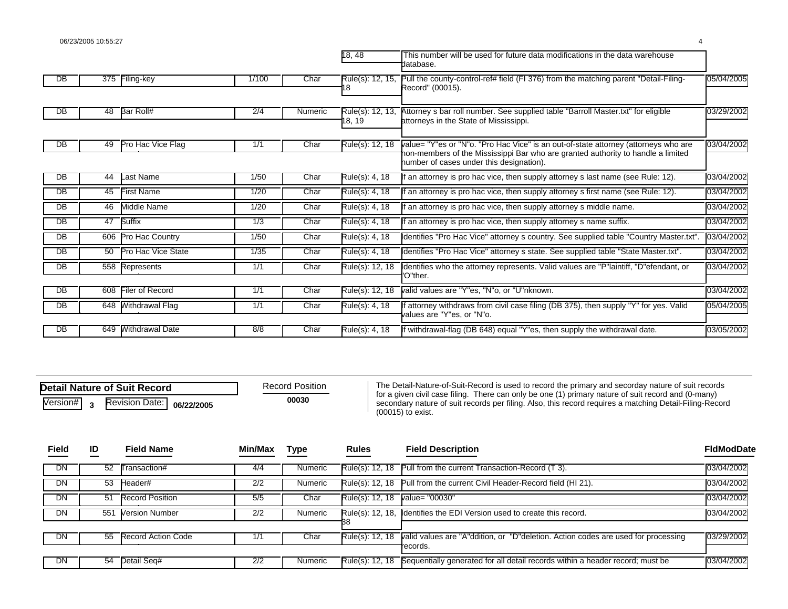|                 |     |                           |       |                | 18, 48                     | This number will be used for future data modifications in the data warehouse<br>database.                                                                                                                           |            |
|-----------------|-----|---------------------------|-------|----------------|----------------------------|---------------------------------------------------------------------------------------------------------------------------------------------------------------------------------------------------------------------|------------|
| DB              | 375 | Filing-key                | 1/100 | Char           | Rule(s): 12, 15,           | Pull the county-control-ref# field (FI 376) from the matching parent "Detail-Filing-<br>Record" (00015).                                                                                                            | 05/04/2005 |
| DB              | 48  | Bar Roll#                 | 2/4   | <b>Numeric</b> | Rule(s): 12, 13,<br>18, 19 | Attorney s bar roll number. See supplied table "Barroll Master.txt" for eligible<br>attorneys in the State of Mississippi.                                                                                          | 03/29/2002 |
| DB              | 49  | Pro Hac Vice Flag         | 1/1   | Char           | Rule(s): 12, 18            | value= "Y"es or "N"o. "Pro Hac Vice" is an out-of-state attorney (attorneys who are<br>ion-members of the Mississippi Bar who are granted authority to handle a limited<br>number of cases under this designation). | 03/04/2002 |
| DB              | 44  | Last Name                 | 1/50  | Char           | Rule(s): 4, 18             | an attorney is pro hac vice, then supply attorney s last name (see Rule: 12).                                                                                                                                       | 03/04/2002 |
| $\overline{DB}$ | 45  | <b>First Name</b>         | 1/20  | Char           | Rule(s): 4, 18             | an attorney is pro hac vice, then supply attorney s first name (see Rule: 12).                                                                                                                                      | 03/04/2002 |
| $\overline{DB}$ | 46  | Middle Name               | 1/20  | Char           | Rule(s): 4, 18             | an attorney is pro hac vice, then supply attorney s middle name.                                                                                                                                                    | 03/04/2002 |
| DB              | 47  | <b>Suffix</b>             | 1/3   | Char           | Rule(s): 4, 18             | an attorney is pro hac vice, then supply attorney s name suffix.                                                                                                                                                    | 03/04/2002 |
| DB              | 606 | Pro Hac Country           | 1/50  | Char           | Rule(s): 4, 18             | dentifies "Pro Hac Vice" attorney s country. See supplied table "Country Master.txt".                                                                                                                               | 03/04/2002 |
| DB              | 50  | <b>Pro Hac Vice State</b> | 1/35  | Char           | Rule(s): 4, 18             | dentifies "Pro Hac Vice" attorney s state. See supplied table "State Master.txt".                                                                                                                                   | 03/04/2002 |
| DB              | 558 | Represents                | 1/1   | Char           | Rule(s): 12, 18            | dentifies who the attorney represents. Valid values are "P"laintiff, "D" efendant, or                                                                                                                               | 03/04/2002 |
|                 |     |                           |       |                |                            | O"ther.                                                                                                                                                                                                             |            |
| DB              | 608 | Filer of Record           | 1/1   | Char           | Rule(s): 12, 18            | valid values are "Y"es, "N"o, or "U"nknown.                                                                                                                                                                         | 03/04/2002 |
| $\overline{DB}$ | 648 | <b>Withdrawal Flag</b>    | 1/1   | Char           | Rule(s): 4, 18             | attorney withdraws from civil case filing (DB 375), then supply "Y" for yes. Valid<br>values are "Y"es, or "N"o.                                                                                                    | 05/04/2005 |
| $\overline{DB}$ | 649 | Nithdrawal Date           | 8/8   | Char           | Rule(s): 4, 18             | If withdrawal-flag (DB 648) equal "Y"es, then supply the withdrawal date.                                                                                                                                           | 03/05/2002 |

| Detail Nature of Suit Record |  |                                                           |  |  |  |  |  |  |
|------------------------------|--|-----------------------------------------------------------|--|--|--|--|--|--|
|                              |  | $\overline{\text{Version}\#}$ 3 Revision Date: 06/22/2005 |  |  |  |  |  |  |

The Detail-Nature-of-Suit-Record is used to record the primary and secorday nature of suit records for a given civil case filing. There can only be one (1) primary nature of suit record and (0-many)<br>**00030** secondary nature of suit records per filing. Also, this record requires a matching Detail-Filing-Record (00015) to exist.

| Field     | ID  | <b>Field Name</b>         | Min/Max | <b>Type</b> | <b>Rules</b>     | <b>Field Description</b>                                                          | <b>FidModDate</b> |
|-----------|-----|---------------------------|---------|-------------|------------------|-----------------------------------------------------------------------------------|-------------------|
| <b>DN</b> | 52  | Fransaction#              | 4/4     | Numeric     |                  | Rule(s): 12, 18 Pull from the current Transaction-Record (T 3).                   | 03/04/2002        |
| DN        | 53  | Header#                   | 2/2     | Numeric     | Rule(s): 12. 18  | Pull from the current Civil Header-Record field (HI 21).                          | 03/04/2002        |
| DN        | 51  | <b>Record Position</b>    | 5/5     | Char        | Rule(s): 12, 18  | value= "00030"                                                                    | 03/04/2002        |
| DN        | 551 | <b>Version Number</b>     | 2/2     | Numeric     | Rule(s): 12, 18, | I dentifies the EDI Version used to create this record.                           | 03/04/2002        |
|           |     |                           |         |             |                  |                                                                                   |                   |
| DN        | 55  | <b>Record Action Code</b> | 1/1     | Char        | Rule(s): 12, 18  | valid values are "A"ddition, or "D"deletion. Action codes are used for processing | 03/29/2002        |
|           |     |                           |         |             |                  | records.                                                                          |                   |
| DN        |     | 54 Detail Seq#            | 2/2     | Numeric     | Rule(s): 12, 18  | Sequentially generated for all detail records within a header record; must be     | 03/04/2002        |
|           |     |                           |         |             |                  |                                                                                   |                   |

Record Position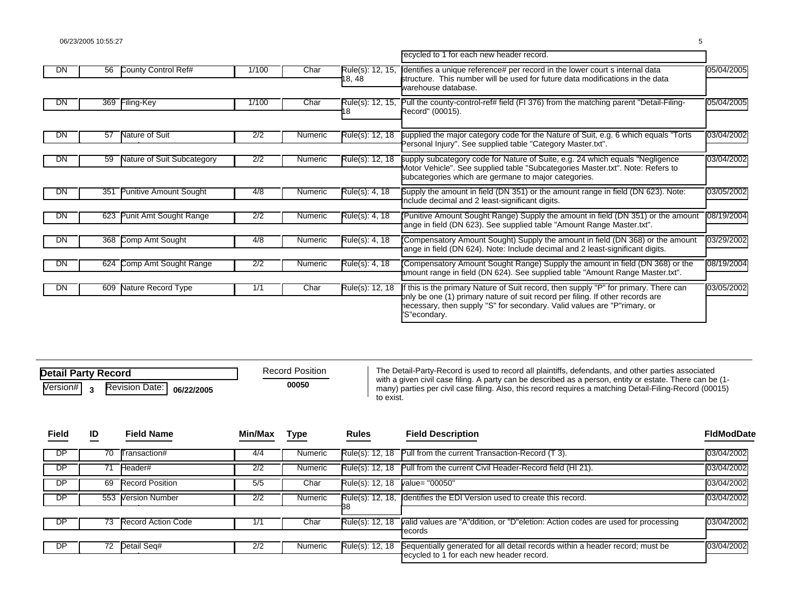|           |     |                               |                  |         |                            | recycled to 1 for each new header record.                                                                                                                                                                                                                       |            |
|-----------|-----|-------------------------------|------------------|---------|----------------------------|-----------------------------------------------------------------------------------------------------------------------------------------------------------------------------------------------------------------------------------------------------------------|------------|
| DN.       | 56  | County Control Ref#           | 1/100            | Char    | Rule(s): 12, 15,<br>18, 48 | dentifies a unique reference# per record in the lower court s internal data<br>structure. This number will be used for future data modifications in the data<br>varehouse database.                                                                             | 05/04/2005 |
| DN.       | 369 | Filing-Key                    | 1/100            | Char    | Rule(s): 12, 15,           | Pull the county-control-ref# field (FI 376) from the matching parent "Detail-Filing-<br>Record" (00015).                                                                                                                                                        | 05/04/2005 |
| DN        | 57  | Nature of Suit                | 2/2              | Numeric | Rule(s): 12, 18            | supplied the major category code for the Nature of Suit, e.g. 6 which equals "Torts"<br>Personal Injury". See supplied table "Category Master.txt".                                                                                                             | 03/04/2002 |
| DN        | 59  | Nature of Suit Subcategory    | 2/2              | Numeric | Rule(s): 12, 18            | supply subcategory code for Nature of Suite, e.g. 24 which equals "Negligence<br>Aotor Vehicle". See supplied table "Subcategories Master.txt". Note: Refers to<br>subcategories which are germane to major categories.                                         | 03/04/2002 |
| DN        | 351 | <b>Punitive Amount Sought</b> | 4/8              | Numeric | Rule(s): 4, 18             | Supply the amount in field (DN 351) or the amount range in field (DN 623). Note:<br>nclude decimal and 2 least-significant digits.                                                                                                                              | 03/05/2002 |
| DN        | 623 | Punit Amt Sought Range        | 2/2              | Numeric | Rule(s): 4, 18             | Punitive Amount Sought Range) Supply the amount in field (DN 351) or the amount<br>ange in field (DN 623). See supplied table "Amount Range Master.txt".                                                                                                        | 08/19/2004 |
| <b>DN</b> | 368 | Comp Amt Sought               | 4/8              | Numeric | Rule(s): 4, 18             | Compensatory Amount Sought) Supply the amount in field (DN 368) or the amount<br>ange in field (DN 624). Note: Include decimal and 2 least-significant digits.                                                                                                  | 03/29/2002 |
| DN        | 624 | Comp Amt Sought Range         | $\overline{2/2}$ | Numeric | Rule(s): 4, 18             | Compensatory Amount Sought Range) Supply the amount in field (DN 368) or the<br>amount range in field (DN 624). See supplied table "Amount Range Master.txt".                                                                                                   | 08/19/2004 |
| DN        | 609 | Nature Record Type            | 1/1              | Char    | Rule(s): 12, 18            | this is the primary Nature of Suit record, then supply "P" for primary. There can<br>only be one (1) primary nature of suit record per filing. If other records are<br>necessary, then supply "S" for secondary. Valid values are "P"rimary, or<br>'S"econdary. | 03/05/2002 |

| <b>Detail Party Record</b> |  |                                                           |  |  |  |  |  |
|----------------------------|--|-----------------------------------------------------------|--|--|--|--|--|
|                            |  | $\overline{\text{Version}\#}$ 3 Revision Date: 06/22/2005 |  |  |  |  |  |

Record Position

The Detail-Party-Record is used to record all plaintiffs, defendants, and other parties associated **00050** with a given civil case filing. A party can be described as a person, entity or estate. There can be (1-<br>many) parties per civil case filing. Also, this record requires a matching Detail-Filing-Record (00015) to exist.

| Field | ID | <b>Field Name</b>      | Min/Max | Type           | <b>Rules</b>    | <b>Field Description</b>                                                                                                   | <b>FIdModDate</b> |
|-------|----|------------------------|---------|----------------|-----------------|----------------------------------------------------------------------------------------------------------------------------|-------------------|
| DP    | 70 | Transaction#           | 4/4     | <b>Numeric</b> |                 | Rule(s): 12, 18 Pull from the current Transaction-Record (T 3).                                                            | 03/04/2002        |
| DP    | 71 | Header#                | 2/2     | Numeric        |                 | Rule(s): 12, 18 Pull from the current Civil Header-Record field (HI 21).                                                   | 03/04/2002        |
| DP    | 69 | <b>Record Position</b> | 5/5     | Char           | Rule(s): 12, 18 | value= "00050"                                                                                                             | 03/04/2002        |
| DP    |    | 553 Version Number     | 2/2     | Numeric        |                 | Rule(s): 12, 18. Identifies the EDI Version used to create this record.                                                    | 03/04/2002        |
|       |    |                        |         |                |                 |                                                                                                                            |                   |
| DP    | 73 | Record Action Code     | 1/2     | Char           | Rule(s): 12, 18 | valid values are "A"ddition, or "D"eletion: Action codes are used for processing<br>records                                | 03/04/2002        |
|       |    |                        |         |                |                 |                                                                                                                            |                   |
| DP.   |    | 72 Detail Seg#         | 2/2     | Numeric        | Rule(s): 12, 18 | Sequentially generated for all detail records within a header record; must be<br>recycled to 1 for each new header record. | 03/04/2002        |
|       |    |                        |         |                |                 |                                                                                                                            |                   |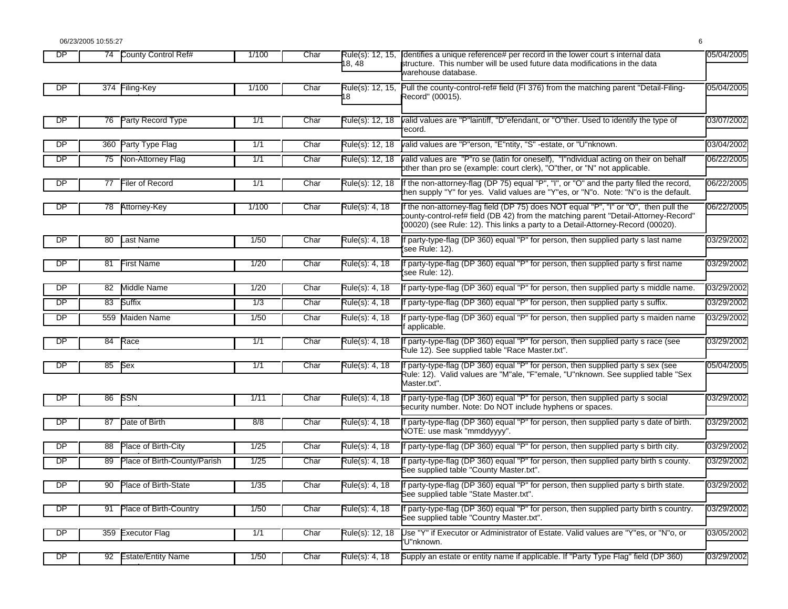06/23/2005 10:55:27 6

**DP** 74 County Control Ref# 1/100 Char Rule(s): 12, 15, 18, 48 County Control Ref# 1/100 Char Rule(s): 12, 15, dentifies a unique reference# per record in the lower court s internal data 05/04/2005 structure. This number will be used future data modifications in the data warehouse database. **DP** 374 Filing-Key 1/100 Char Rule(s): 12, 15, 18 Filing-Key **County-County-County-County-County-County-control-ref# field (FI 376) from the matching parent "Detail-Filing- 05/04/2005** Record" (00015). DP 76 Party Record Type 1/1 Char Rule(s): 12, 18 valid values are "P"laintiff, "D"efendant, or "O"ther. Used to identify the type of 03/07/2002 record. DP 360 Party Type Flag 1/1 1/1 Char Rule(s): 12, 18 valid values are "P"erson, "E"ntity, "S" -estate, or "U"nknown. DP | 75 Non-Attorney Flag | 1/1 | Char Rule(s): 12, 18 valid values are "P"ro se (latin for oneself), "I"ndividual acting on their on behalf 06/22/2005 other than pro se (example: court clerk), "O"ther, or "N" not applicable. DP 77 Filer of Record 1/1 Char Rule(s): 12, 18 If the non-attorney-flag (DP 75) equal "P", "I", or "O" and the party filed the record, 06/22/2005 hen supply "Y" for yes. Valid values are "Y"es, or "N"o. Note: "N"o is the default. DP 78 Attorney-Key 1/100 Char Rule(s): 4, 18 If the non-attorney-flag field (DP 75) does NOT equal "P", "I" or "O", then pull the 06/22/2005 county-control-ref# field (DB 42) from the matching parent "Detail-Attorney-Record" (00020) (see Rule: 12). This links a party to a Detail-Attorney-Record (00020). DP 80 1/50 Char Rule(s): 4, 18 If party-type-flag (DP 360) equal "P" for person, then supplied party s last name Last Name 03/29/2002 (see Rule: 12). DP 81 1/20 Char Rule(s): 4, 18 If party-type-flag (DP 360) equal "P" for person, then supplied party s first name First Name 03/29/2002 see Rule: 12). DP 82 Middle Name 1/20 Char Rule(s): 4, 18 If party-type-flag (DP 360) equal "P" for person, then supplied party s middle name. 03/29/2002 DP 83 Suffix 1/3 Char Rule(s): 4, 18 If party-type-flag (DP 360) equal "P" for person, then supplied party s suffix. 03/29/2002 DP [ 559 Maiden Name | 1/50 | Char Rule(s): 4, 18 If party-type-flag (DP 360) equal "P" for person, then supplied party s maiden name 03/29/2002 applicable. DP 84 Race **19th 11 Char Rule(s): 4, 18** If party-type-flag (DP 360) equal "P" for person, then supplied party s race (see 03/29/2002 Rule 12). See supplied table "Race Master.txt". DP 85 Sex 1986 1/1 Char Rule(s): 4, 18 If party-type-flag (DP 360) equal "P" for person, then supplied party s sex (see 05/04/2005 Rule: 12). Valid values are "M"ale, "F"emale, "U"nknown. See supplied table "Sex Master.txt". DP 86 1/11 Char Rule(s): 4, 18 If party-type-flag (DP 360) equal "P" for person, then supplied party s social SSN 03/29/2002 security number. Note: Do NOT include hyphens or spaces. DP | 87 Date of Birth | 8/8 | Char Rule(s): 4, 18 If party-type-flag (DP 360) equal "P" for person, then supplied party s date of birth. 03/29/2002 NOTE: use mask "mmddyyyy". DP 88 Place of Birth-City 1/25 Char Rule(s): 4, 18 If party-type-flag (DP 360) equal "P" for person, then supplied party s birth city. 03/29/2002 DP 89 Place of Birth-County/Parish | 1/25 Char Rule(s): 4, 18 If party-type-flag (DP 360) equal "P" for person, then supplied party birth s county. 03/29/2002 See supplied table "County Master.txt". DP | 90 Place of Birth-State | 1/35 | Char Rule(s): 4, 18 If party-type-flag (DP 360) equal "P" for person, then supplied party s birth state. 03/29/2002 See supplied table "State Master.txt". DP [ 91 Place of Birth-Country | 1/50 Char Rule(s): 4, 18 If party-type-flag (DP 360) equal "P" for person, then supplied party birth s country. [03/29/2002] See supplied table "Country Master.txt". DP 359 1/1 Char Rule(s): 12, 18 Use "Y" if Executor or Administrator of Estate. Valid values are "Y"es, or "N"o, or Executor Flag 03/05/2002 "U"nknown. DP 92 Estate/Entity Name 1/50 Char Rule(s): 4, 18 Supply an estate or entity name if applicable. If "Party Type Flag" field (DP 360) 03/29/2002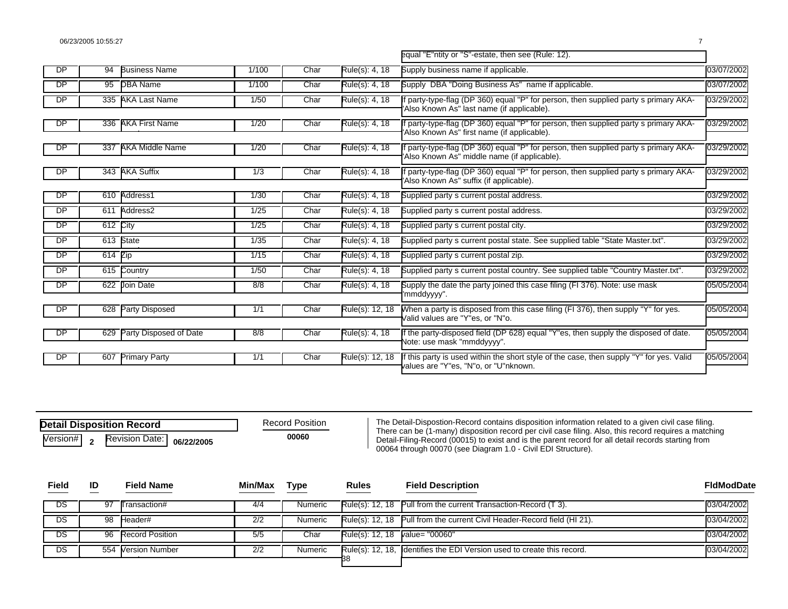|           |           |                        |       |      |                 | equal "E"ntity or "S"-estate, then see (Rule: 12).                                                                                 |            |
|-----------|-----------|------------------------|-------|------|-----------------|------------------------------------------------------------------------------------------------------------------------------------|------------|
| DP        | 94        | <b>Business Name</b>   | 1/100 | Char | Rule(s): 4, 18  | Supply business name if applicable.                                                                                                | 03/07/2002 |
| <b>DP</b> | 95        | <b>DBA Name</b>        | 1/100 | Char | Rule(s): 4, 18  | Supply DBA "Doing Business As" name if applicable.                                                                                 | 03/07/2002 |
| <b>DP</b> |           | 335 AKA Last Name      | 1/50  | Char | Rule(s): 4, 18  | f party-type-flag (DP 360) equal "P" for person, then supplied party s primary AKA-<br>Also Known As" last name (if applicable).   | 03/29/2002 |
| DP        | 336       | <b>AKA First Name</b>  | 1/20  | Char | Rule(s): 4, 18  | party-type-flag (DP 360) equal "P" for person, then supplied party s primary AKA-<br>'Also Known As" first name (if applicable).   | 03/29/2002 |
| DP        | 337       | <b>AKA Middle Name</b> | 1/20  | Char | Rule(s): 4, 18  | f party-type-flag (DP 360) equal "P" for person, then supplied party s primary AKA-<br>Also Known As" middle name (if applicable). | 03/29/2002 |
| DP        |           | 343 AKA Suffix         | 1/3   | Char | Rule(s): 4, 18  | party-type-flag (DP 360) equal "P" for person, then supplied party s primary AKA-<br>Also Known As" suffix (if applicable).        | 03/29/2002 |
| DP        | 610       | Address1               | 1/30  | Char | Rule(s): 4, 18  | Supplied party s current postal address.                                                                                           | 03/29/2002 |
| <b>DP</b> |           | 611 Address2           | 1/25  | Char | Rule(s): 4, 18  | Supplied party s current postal address.                                                                                           | 03/29/2002 |
| <b>DP</b> | 612 City  |                        | 1/25  | Char | Rule(s): 4, 18  | Supplied party s current postal city.                                                                                              | 03/29/2002 |
| <b>DP</b> |           | 613 State              | 1/35  | Char | Rule(s): 4, 18  | Supplied party s current postal state. See supplied table "State Master.txt".                                                      | 03/29/2002 |
| DP        | $614$ Zip |                        | 1/15  | Char | Rule(s): 4, 18  | Supplied party s current postal zip.                                                                                               | 03/29/2002 |
| DP        |           | 615 Country            | 1/50  | Char | Rule(s): 4, 18  | Supplied party s current postal country. See supplied table "Country Master.txt".                                                  | 03/29/2002 |
| <b>DP</b> |           | 622 Join Date          | 8/8   | Char | Rule(s): 4, 18  | Supply the date the party joined this case filing (FI 376). Note: use mask<br>'mmddyyyy".                                          | 05/05/2004 |
| DP        | 628       | <b>Party Disposed</b>  | 1/1   | Char | Rule(s): 12, 18 | When a party is disposed from this case filing (FI 376), then supply "Y" for yes.<br>/alid values are "Y"es, or "N"o.              | 05/05/2004 |
| DP        | 629       | Party Disposed of Date | 8/8   | Char | Rule(s): 4, 18  | f the party-disposed field (DP 628) equal "Y"es, then supply the disposed of date.<br>Note: use mask "mmddyyyy".                   | 05/05/2004 |
| DP        | 607       | <b>Primary Party</b>   | 1/1   | Char | Rule(s): 12, 18 | f this party is used within the short style of the case, then supply "Y" for yes. Valid<br>alues are "Y"es, "N"o, or "U"nknown.    | 05/05/2004 |

| <b>Detail Disposition Record</b> | ₹е |                                                           |  |  |
|----------------------------------|----|-----------------------------------------------------------|--|--|
|                                  |    | $\overline{\text{Version}\#}$ 2 Revision Date: 06/22/2005 |  |  |

cord Position

The Detail-Dispostion-Record contains disposition information related to a given civil case filing. There can be (1-many) disposition record per civil case filing. Also, this record requires a matching **Detail-Filing-Record (00015)** to exist and is the parent record for all detail records starting from 00064 through 00070 (see Diagram 1.0 - Civil EDI Structure).

| <b>Field</b> | ID | <b>Field Name</b>  | Min/Max | <b>Type</b> | <b>Rules</b>                   | <b>Field Description</b>                                                 | <b>FidModDate</b> |
|--------------|----|--------------------|---------|-------------|--------------------------------|--------------------------------------------------------------------------|-------------------|
| DS           | 97 | Transaction#       | 4/4     | Numeric     |                                | Rule(s): 12, 18 Pull from the current Transaction-Record (T 3).          | 03/04/2002        |
| DS.          |    | 98 Header#         | 2/2     | Numeric     |                                | Rule(s): 12, 18 Pull from the current Civil Header-Record field (HI 21). | 03/04/2002        |
| DS           |    | 96 Record Position | 5/5     | Char        | Rule(s): 12, 18 value= "00060" |                                                                          | 03/04/2002        |
| DS           |    | 554 Version Number | 2/2     | Numeric     |                                | Rule(s): 12, 18, Identifies the EDI Version used to create this record.  | 03/04/2002        |
|              |    |                    |         |             |                                |                                                                          |                   |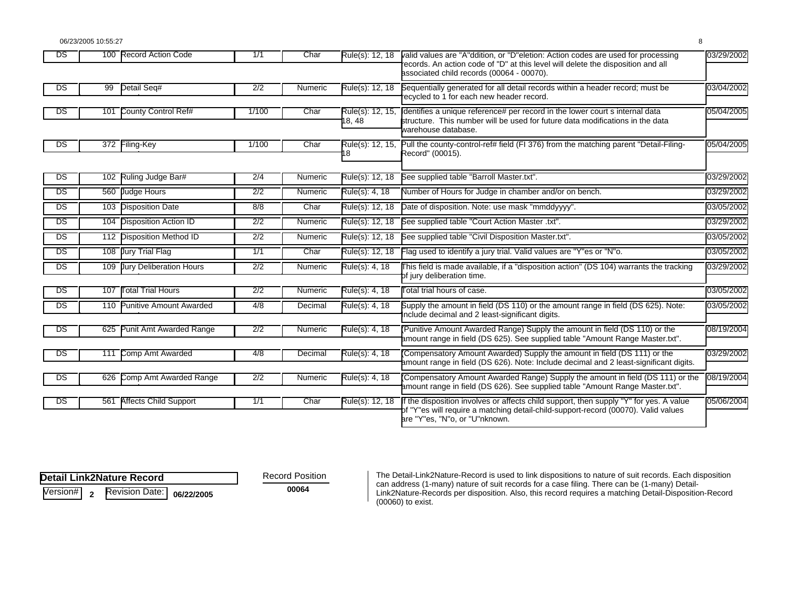| DS  |     | 100 Record Action Code       | 1/1              | Char    | Rule(s): 12, 18            | valid values are "A"ddition, or "D"eletion: Action codes are used for processing<br>ecords. An action code of "D" at this level will delete the disposition and all<br>associated child records (00064 - 00070). | 03/29/2002 |
|-----|-----|------------------------------|------------------|---------|----------------------------|------------------------------------------------------------------------------------------------------------------------------------------------------------------------------------------------------------------|------------|
| DS  | 99  | Detail Seq#                  | 2/2              | Numeric | Rule(s): 12, 18            | Sequentially generated for all detail records within a header record; must be<br>ecycled to 1 for each new header record.                                                                                        | 03/04/2002 |
| DS  | 101 | County Control Ref#          | 1/100            | Char    | Rule(s): 12, 15,<br>18, 48 | dentifies a unique reference# per record in the lower court s internal data<br>structure. This number will be used for future data modifications in the data<br>warehouse database.                              | 05/04/2005 |
| DS  |     | 372 Filing-Key               | 1/100            | Char    | Rule(s): 12, 15,<br>8      | Pull the county-control-ref# field (FI 376) from the matching parent "Detail-Filing-<br>Record" (00015).                                                                                                         | 05/04/2005 |
| DS  |     | 102 Ruling Judge Bar#        | 2/4              | Numeric | Rule(s): 12, 18            | See supplied table "Barroll Master.txt".                                                                                                                                                                         | 03/29/2002 |
| DS  |     | 560 Judge Hours              | $\overline{2/2}$ | Numeric | Rule(s): 4, 18             | Number of Hours for Judge in chamber and/or on bench.                                                                                                                                                            | 03/29/2002 |
| DS  |     | 103 Disposition Date         | 8/8              | Char    | Rule(s): 12, 18            | Date of disposition. Note: use mask "mmddyyyy".                                                                                                                                                                  | 03/05/2002 |
| DS  |     | 104 Disposition Action ID    | 2/2              | Numeric | Rule(s): 12, 18            | See supplied table "Court Action Master .txt".                                                                                                                                                                   | 03/29/2002 |
| DS  |     | 112 Disposition Method ID    | 2/2              | Numeric | Rule(s): 12, 18            | See supplied table "Civil Disposition Master.txt".                                                                                                                                                               | 03/05/2002 |
| DS  |     | 108 Jury Trial Flag          | 1/1              | Char    | Rule(s): 12, 18            | Flag used to identify a jury trial. Valid values are "Y"es or "N"o.                                                                                                                                              | 03/05/2002 |
| DS  |     | 109 Jury Deliberation Hours  | 2/2              | Numeric | Rule(s): 4, 18             | This field is made available, if a "disposition action" (DS 104) warrants the tracking<br>of jury deliberation time.                                                                                             | 03/29/2002 |
| DS  | 107 | <b>Total Trial Hours</b>     | $\overline{2/2}$ | Numeric | Rule(s): 4, 18             | Total trial hours of case.                                                                                                                                                                                       | 03/05/2002 |
| DS  |     | 110 Punitive Amount Awarded  | 4/8              | Decimal | Rule(s): 4, 18             | Supply the amount in field (DS 110) or the amount range in field (DS 625). Note:<br>nclude decimal and 2 least-significant digits.                                                                               | 03/05/2002 |
| DS. | 625 | Punit Amt Awarded Range      | $\overline{2/2}$ | Numeric | Rule(s): 4, 18             | Punitive Amount Awarded Range) Supply the amount in field (DS 110) or the<br>amount range in field (DS 625). See supplied table "Amount Range Master.txt".                                                       | 08/19/2004 |
| DS  | 111 | Comp Amt Awarded             | 4/8              | Decimal | Rule(s): 4, 18             | Compensatory Amount Awarded) Supply the amount in field (DS 111) or the<br>amount range in field (DS 626). Note: Include decimal and 2 least-significant digits.                                                 | 03/29/2002 |
| DS  |     | 626 Comp Amt Awarded Range   | $\overline{2/2}$ | Numeric | Rule(s): 4, 18             | Compensatory Amount Awarded Range) Supply the amount in field (DS 111) or the<br>amount range in field (DS 626). See supplied table "Amount Range Master.txt".                                                   | 08/19/2004 |
| DS  | 561 | <b>Affects Child Support</b> | 1/1              | Char    | Rule(s): 12, 18            | If the disposition involves or affects child support, then supply "Y" for yes. A value<br>of "Y"es will require a matching detail-child-support-record (00070). Valid values<br>are "Y"es, "N"o, or "U"nknown.   | 05/06/2004 |

**D etail Link2Nature Record** 

Record Position

Version# **<sup>2</sup>** Revision Date: **06/22/2005** 

The Detail-Link2Nature-Record is used to link dispositions to nature of suit records. Each disposition can address (1-many) nature of suit records for a case filing. There can be (1-many) Detail-<br>**00064** Link2Nature-Records per disposition. Also, this record requires a matching Detail-Disposition-Record (00060) to exist.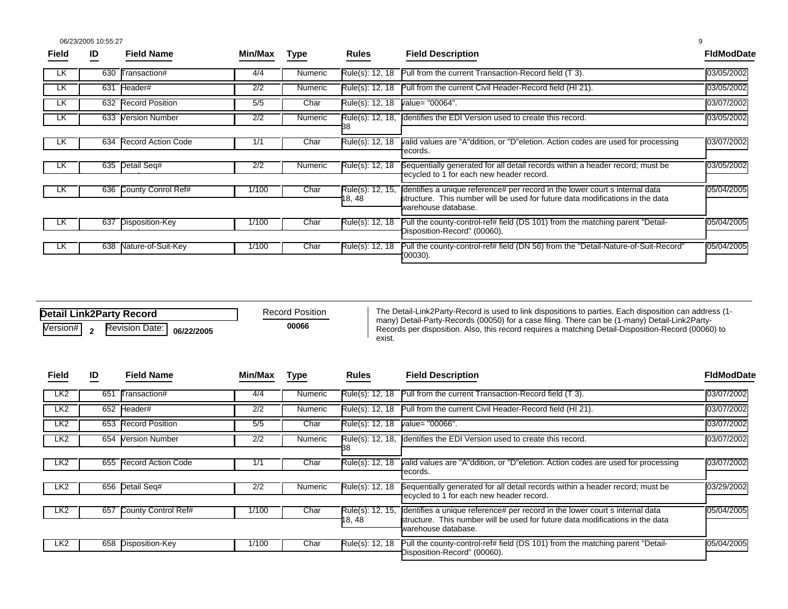06/23/2005 10:55:27 9

| 03/05/2002                                                                                                                                                                 |
|----------------------------------------------------------------------------------------------------------------------------------------------------------------------------|
|                                                                                                                                                                            |
| 03/05/2002                                                                                                                                                                 |
| 03/07/2002                                                                                                                                                                 |
| 03/05/2002                                                                                                                                                                 |
|                                                                                                                                                                            |
| 03/07/2002<br>valid values are "A"ddition, or "D"eletion. Action codes are used for processing                                                                             |
|                                                                                                                                                                            |
| Sequentially generated for all detail records within a header record; must be<br>03/05/2002                                                                                |
|                                                                                                                                                                            |
| 05/04/2005<br>dentifies a unique reference# per record in the lower court s internal data<br>structure. This number will be used for future data modifications in the data |
|                                                                                                                                                                            |
| Pull the county-control-ref# field (DS 101) from the matching parent "Detail-<br>05/04/2005                                                                                |
|                                                                                                                                                                            |
| Pull the county-control-ref# field (DN 56) from the "Detail-Nature-of-Suit-Record"<br>05/04/2005                                                                           |
|                                                                                                                                                                            |

| <b>Detail Link2Party Record</b> |  | <b>Record Position</b>    |  |       |  |
|---------------------------------|--|---------------------------|--|-------|--|
| Version# <sub>2</sub>           |  | Revision Date: 06/22/2005 |  | 00066 |  |

The Detail-Link2Party-Record is used to link dispositions to parties. Each disposition can address (1 many) Detail-Party-Records (00050) for a case filing. There can be (1-many) Detail-Link2Party-<br>**00066** Records per disposition. Also, this record requires a matching Detail-Disposition-Record (00060) to exist.

| <b>Field</b>    | ID  | <b>Field Name</b>          | Min/Max | Type    | <b>Rules</b>               | <b>Field Description</b>                                                                                                                                                            | <b>FIdModDate</b> |
|-----------------|-----|----------------------------|---------|---------|----------------------------|-------------------------------------------------------------------------------------------------------------------------------------------------------------------------------------|-------------------|
| LK <sub>2</sub> | 651 | Transaction#               | 4/4     | Numeric | Rule(s): 12, 18            | Pull from the current Transaction-Record field (T 3).                                                                                                                               | 03/07/2002        |
| LK <sub>2</sub> |     | 652 Header#                | 2/2     | Numeric |                            | Rule(s): 12, 18 Pull from the current Civil Header-Record field (HI 21).                                                                                                            | 03/07/2002        |
| LK <sub>2</sub> |     | 653 Record Position        | 5/5     | Char    | Rule(s): 12, 18            | value= "00066".                                                                                                                                                                     | 03/07/2002        |
| LK <sub>2</sub> |     | 654 Version Number         | 2/2     | Numeric | Rule(s): 12, 18,           | Identifies the EDI Version used to create this record.                                                                                                                              | 03/07/2002        |
| LK <sub>2</sub> | 655 | Record Action Code         | 1/1     | Char    | Rule(s): 12, 18            | valid values are "A"ddition, or "D"eletion. Action codes are used for processing<br>records.                                                                                        | 03/07/2002        |
| LK <sub>2</sub> |     | 656 Detail Seq#            | 2/2     | Numeric | Rule(s): 12, 18            | Sequentially generated for all detail records within a header record; must be<br>recycled to 1 for each new header record.                                                          | 03/29/2002        |
| LK <sub>2</sub> | 657 | <b>County Control Ref#</b> | 1/100   | Char    | Rule(s): 12, 15,<br>18, 48 | dentifies a unique reference# per record in the lower court s internal data<br>structure. This number will be used for future data modifications in the data<br>varehouse database. | 05/04/2005        |
| LK <sub>2</sub> |     | 658 Disposition-Key        | 1/100   | Char    | Rule(s): $12, 18$          | Pull the county-control-ref# field (DS 101) from the matching parent "Detail-<br>Disposition-Record" (00060).                                                                       | 05/04/2005        |
|                 |     |                            |         |         |                            |                                                                                                                                                                                     |                   |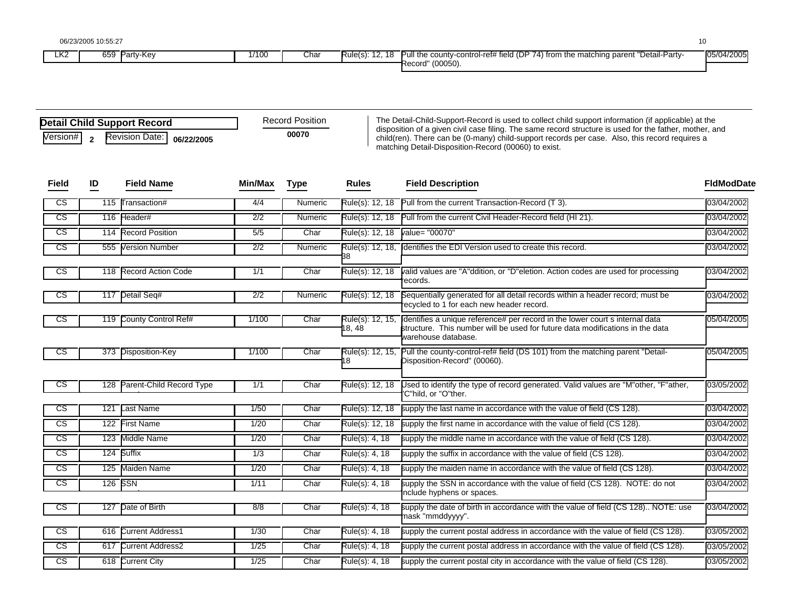| 10 |
|----|
|    |

| LK2 | $\sim$ $\sim$ $\sim$<br>Party-Kev<br>659 | 1/100 | Char | $\overline{a}$<br>$\Delta$ $\Omega$<br>Rule(s).<br>- 10 | e county-control-ref# field (DP 74) fr<br>"Detail-Partv-<br>l) from the matching parent "<br>Pull the | 05/04/2005 |
|-----|------------------------------------------|-------|------|---------------------------------------------------------|-------------------------------------------------------------------------------------------------------|------------|
|     |                                          |       |      |                                                         | $(00050)$ .<br>Record'                                                                                |            |

| <b>Detail Child Support Record</b>                 | <b>Record Position</b> |  |
|----------------------------------------------------|------------------------|--|
| Version# <sub>2</sub><br>Revision Date: 06/22/2005 | 00070                  |  |

The Detail-Child-Support-Record is used to collect child support information (if applicable) at the disposition of a given civil case filing. The same record structure is used for the father, mother, and child(ren). There can be (0-many) child-support records per case. Also, this record requires a matching Detail-Disposition-Record (00060) to exist.

| <b>Field</b>           | ID               | <b>Field Name</b>        | Min/Max          | <b>Type</b> | <b>Rules</b>               | <b>Field Description</b>                                                                                                                                                            | <b>FidModDate</b> |
|------------------------|------------------|--------------------------|------------------|-------------|----------------------------|-------------------------------------------------------------------------------------------------------------------------------------------------------------------------------------|-------------------|
| $\overline{\text{cs}}$ | $\overline{115}$ | ransaction#              | 4/4              | Numeric     | Rule(s): 12, 18            | Pull from the current Transaction-Record (T 3).                                                                                                                                     | 03/04/2002        |
| $\overline{\text{CS}}$ | 116              | Header#                  | $\overline{2/2}$ | Numeric     | Rule(s): 12, 18            | Pull from the current Civil Header-Record field (HI 21).                                                                                                                            | 03/04/2002        |
| $\overline{\text{cs}}$ |                  | 114 Record Position      | 5/5              | Char        | Rule(s): 12, 18            | value= "00070"                                                                                                                                                                      | 03/04/2002        |
| CS                     |                  | 555 Version Number       | 2/2              | Numeric     | Rule(s): 12, 18,<br>38     | dentifies the EDI Version used to create this record.                                                                                                                               | 03/04/2002        |
| cs                     |                  | 118 Record Action Code   | 1/1              | Char        | Rule(s): 12, 18            | valid values are "A"ddition, or "D"eletion. Action codes are used for processing<br>records.                                                                                        | 03/04/2002        |
| -cs                    | 117              | Detail Seq#              | $\overline{2/2}$ | Numeric     | Rule(s): 12, 18            | Sequentially generated for all detail records within a header record; must be<br>recycled to 1 for each new header record.                                                          | 03/04/2002        |
| $\overline{\text{cs}}$ |                  | 119 County Control Ref#  | 1/100            | Char        | Rule(s): 12, 15,<br>18, 48 | dentifies a unique reference# per record in the lower court s internal data<br>structure. This number will be used for future data modifications in the data<br>warehouse database. | 05/04/2005        |
| cs                     |                  | 373 Disposition-Key      | 1/100            | Char        | Rule(s): 12, 15,<br>8      | Pull the county-control-ref# field (DS 101) from the matching parent "Detail-<br>Disposition-Record" (00060).                                                                       | 05/04/2005        |
| -CS                    | 128              | Parent-Child Record Type | 1/1              | Char        | Rule(s): 12, 18            | Used to identify the type of record generated. Valid values are "M"other, "F"ather,<br>'C"hild, or "O"ther,                                                                         | 03/05/2002        |
| CS                     | 121              | Last Name                | 1/50             | Char        | Rule(s): 12, 18            | supply the last name in accordance with the value of field (CS 128).                                                                                                                | 03/04/2002        |
| CS                     |                  | 122 First Name           | 1/20             | Char        | Rule(s): 12, 18            | supply the first name in accordance with the value of field (CS 128).                                                                                                               | 03/04/2002        |
| CS                     |                  | 123 Middle Name          | 1/20             | Char        | Rule(s): 4, 18             | supply the middle name in accordance with the value of field (CS 128).                                                                                                              | 03/04/2002        |
| CS                     |                  | 124 Suffix               | 1/3              | Char        | Rule(s): 4, 18             | supply the suffix in accordance with the value of field (CS 128).                                                                                                                   | 03/04/2002        |
| $\overline{\text{cs}}$ |                  | 125 Maiden Name          | 1/20             | Char        | Rule(s): 4, 18             | supply the maiden name in accordance with the value of field (CS 128).                                                                                                              | 03/04/2002        |
| $\overline{\text{cs}}$ |                  | 126 SSN                  | 1/11             | Char        | Rule(s): 4, 18             | supply the SSN in accordance with the value of field (CS 128). NOTE: do not<br>nclude hyphens or spaces.                                                                            | 03/04/2002        |
| CS                     | 127              | Date of Birth            | 8/8              | Char        | Rule(s): 4, 18             | supply the date of birth in accordance with the value of field (CS 128) NOTE: use<br>mask "mmddyyyy".                                                                               | 03/04/2002        |
| CS                     |                  | 616 Current Address1     | 1/30             | Char        | Rule(s): 4, 18             | supply the current postal address in accordance with the value of field (CS 128).                                                                                                   | 03/05/2002        |
| CS                     |                  | 617 Current Address2     | 1/25             | Char        | Rule(s): 4, 18             | supply the current postal address in accordance with the value of field (CS 128).                                                                                                   | 03/05/2002        |
| CS                     |                  | 618 Current City         | 1/25             | Char        | Rule(s): 4, 18             | supply the current postal city in accordance with the value of field (CS 128).                                                                                                      | 03/05/2002        |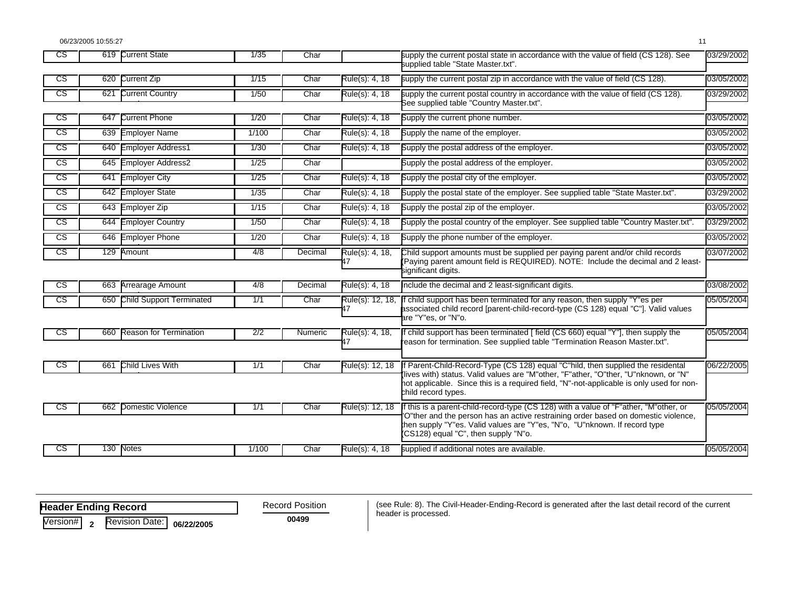06/23/2005 10:55:27 11

| Rule(s): 4, 18<br>Current Zip<br>supply the current postal zip in accordance with the value of field (CS 128).<br>$\overline{\text{cs}}$<br>620<br>1/15<br>Char<br>$\overline{\text{cs}}$<br>621<br><b>Current Country</b><br>1/50<br>Char<br>Rule(s): 4, 18<br>supply the current postal country in accordance with the value of field (CS 128).<br>See supplied table "Country Master.txt".<br>Current Phone<br>CS<br>1/20<br>Rule(s): 4, 18<br>647<br>Supply the current phone number.<br>Char<br>CS<br>639<br><b>Employer Name</b><br>1/100<br>Rule(s): 4, 18<br>Supply the name of the employer.<br>Char<br>$c\mathsf{s}$<br><b>Employer Address1</b><br>640<br>1/30<br>Char<br>Rule(s): 4, 18<br>Supply the postal address of the employer.<br>$\overline{\text{cs}}$<br>645<br><b>Employer Address2</b><br>1/25<br>Char<br>Supply the postal address of the employer.<br>$\overline{\text{cs}}$<br>641<br><b>Employer City</b><br>1/25<br>Char<br>Rule(s): 4, 18<br>Supply the postal city of the employer.<br>$\overline{\text{cs}}$<br>Supply the postal state of the employer. See supplied table "State Master.txt".<br>642<br><b>Employer State</b><br>1/35<br>Char<br>Rule(s): 4, 18<br>$\overline{\text{cs}}$<br>643 Employer Zip<br>Rule(s): 4, 18<br>Supply the postal zip of the employer.<br>1/15<br>Char<br>$\overline{\text{cs}}$<br><b>Employer Country</b><br>Supply the postal country of the employer. See supplied table "Country Master.txt".<br>644<br>1/50<br>Rule(s): 4, 18<br>Char<br>$\overline{\text{cs}}$<br><b>Employer Phone</b><br>1/20<br>Char<br>Rule(s): 4, 18<br>Supply the phone number of the employer.<br>646<br>$\overline{\text{cs}}$<br>129<br>Amount<br>4/8<br>Rule(s): 4, 18,<br>Child support amounts must be supplied per paying parent and/or child records<br>Decimal<br>(Paying parent amount field is REQUIRED). NOTE: Include the decimal and 2 least-<br>47<br>significant digits.<br>$\overline{\text{cs}}$<br><b>Arrearage Amount</b><br>Rule(s): 4, 18<br>Include the decimal and 2 least-significant digits.<br>663<br>4/8<br>Decimal<br>$\overline{\text{cs}}$<br>650 Child Support Terminated<br>1/1<br>Char<br>Rule(s): 12, 18,<br>child support has been terminated for any reason, then supply "Y"es per<br>associated child record [parent-child-record-type (CS 128) equal "C"]. Valid values<br>47<br>are "Y"es, or "N"o.<br><b>Reason for Termination</b><br>child support has been terminated [field (CS 660) equal "Y"], then supply the<br>CS<br>660<br>$\overline{2/2}$<br>Rule(s): 4, 18,<br>Numeric<br>47<br>reason for termination. See supplied table "Termination Reason Master.txt".<br>If Parent-Child-Record-Type (CS 128) equal "C"hild, then supplied the residental<br><b>Child Lives With</b><br>Rule(s): 12, 18<br>$\overline{\text{cs}}$<br>661<br>1/1<br>Char<br>lives with) status. Valid values are "M"other, "F"ather, "O"ther, "U"nknown, or "N"<br>hot applicable. Since this is a required field, "N"-not-applicable is only used for non-<br>child record types.<br>f this is a parent-child-record-type (CS 128) with a value of "F"ather, "M"other, or<br>$\overline{\text{cs}}$<br>662<br>Domestic Violence<br>1/1<br>Char<br>Rule(s): 12, 18<br>O"ther and the person has an active restraining order based on domestic violence,<br>then supply "Y"es. Valid values are "Y"es, "N"o, "U"nknown. If record type<br>(CS128) equal "C", then supply "N"o.<br><b>Notes</b><br>supplied if additional notes are available.<br>$\overline{\text{cs}}$<br>130<br>1/100<br>Char<br>Rule(s): 4, 18 | $\overline{\text{cs}}$ | 619 Current State | 1/35 | Char | supply the current postal state in accordance with the value of field (CS 128). See<br>supplied table "State Master.txt". | 03/29/2002 |
|-----------------------------------------------------------------------------------------------------------------------------------------------------------------------------------------------------------------------------------------------------------------------------------------------------------------------------------------------------------------------------------------------------------------------------------------------------------------------------------------------------------------------------------------------------------------------------------------------------------------------------------------------------------------------------------------------------------------------------------------------------------------------------------------------------------------------------------------------------------------------------------------------------------------------------------------------------------------------------------------------------------------------------------------------------------------------------------------------------------------------------------------------------------------------------------------------------------------------------------------------------------------------------------------------------------------------------------------------------------------------------------------------------------------------------------------------------------------------------------------------------------------------------------------------------------------------------------------------------------------------------------------------------------------------------------------------------------------------------------------------------------------------------------------------------------------------------------------------------------------------------------------------------------------------------------------------------------------------------------------------------------------------------------------------------------------------------------------------------------------------------------------------------------------------------------------------------------------------------------------------------------------------------------------------------------------------------------------------------------------------------------------------------------------------------------------------------------------------------------------------------------------------------------------------------------------------------------------------------------------------------------------------------------------------------------------------------------------------------------------------------------------------------------------------------------------------------------------------------------------------------------------------------------------------------------------------------------------------------------------------------------------------------------------------------------------------------------------------------------------------------------------------------------------------------------------------------------------------------------------------------------------------------------------------------------------------------------------------------------------------------------------------------------------------------------------------------------------------------------------------------------------------------------------------------------------------------------------------|------------------------|-------------------|------|------|---------------------------------------------------------------------------------------------------------------------------|------------|
|                                                                                                                                                                                                                                                                                                                                                                                                                                                                                                                                                                                                                                                                                                                                                                                                                                                                                                                                                                                                                                                                                                                                                                                                                                                                                                                                                                                                                                                                                                                                                                                                                                                                                                                                                                                                                                                                                                                                                                                                                                                                                                                                                                                                                                                                                                                                                                                                                                                                                                                                                                                                                                                                                                                                                                                                                                                                                                                                                                                                                                                                                                                                                                                                                                                                                                                                                                                                                                                                                                                                                                                               |                        |                   |      |      |                                                                                                                           | 03/05/2002 |
|                                                                                                                                                                                                                                                                                                                                                                                                                                                                                                                                                                                                                                                                                                                                                                                                                                                                                                                                                                                                                                                                                                                                                                                                                                                                                                                                                                                                                                                                                                                                                                                                                                                                                                                                                                                                                                                                                                                                                                                                                                                                                                                                                                                                                                                                                                                                                                                                                                                                                                                                                                                                                                                                                                                                                                                                                                                                                                                                                                                                                                                                                                                                                                                                                                                                                                                                                                                                                                                                                                                                                                                               |                        |                   |      |      |                                                                                                                           | 03/29/2002 |
|                                                                                                                                                                                                                                                                                                                                                                                                                                                                                                                                                                                                                                                                                                                                                                                                                                                                                                                                                                                                                                                                                                                                                                                                                                                                                                                                                                                                                                                                                                                                                                                                                                                                                                                                                                                                                                                                                                                                                                                                                                                                                                                                                                                                                                                                                                                                                                                                                                                                                                                                                                                                                                                                                                                                                                                                                                                                                                                                                                                                                                                                                                                                                                                                                                                                                                                                                                                                                                                                                                                                                                                               |                        |                   |      |      |                                                                                                                           | 03/05/2002 |
|                                                                                                                                                                                                                                                                                                                                                                                                                                                                                                                                                                                                                                                                                                                                                                                                                                                                                                                                                                                                                                                                                                                                                                                                                                                                                                                                                                                                                                                                                                                                                                                                                                                                                                                                                                                                                                                                                                                                                                                                                                                                                                                                                                                                                                                                                                                                                                                                                                                                                                                                                                                                                                                                                                                                                                                                                                                                                                                                                                                                                                                                                                                                                                                                                                                                                                                                                                                                                                                                                                                                                                                               |                        |                   |      |      |                                                                                                                           | 03/05/2002 |
|                                                                                                                                                                                                                                                                                                                                                                                                                                                                                                                                                                                                                                                                                                                                                                                                                                                                                                                                                                                                                                                                                                                                                                                                                                                                                                                                                                                                                                                                                                                                                                                                                                                                                                                                                                                                                                                                                                                                                                                                                                                                                                                                                                                                                                                                                                                                                                                                                                                                                                                                                                                                                                                                                                                                                                                                                                                                                                                                                                                                                                                                                                                                                                                                                                                                                                                                                                                                                                                                                                                                                                                               |                        |                   |      |      |                                                                                                                           | 03/05/2002 |
|                                                                                                                                                                                                                                                                                                                                                                                                                                                                                                                                                                                                                                                                                                                                                                                                                                                                                                                                                                                                                                                                                                                                                                                                                                                                                                                                                                                                                                                                                                                                                                                                                                                                                                                                                                                                                                                                                                                                                                                                                                                                                                                                                                                                                                                                                                                                                                                                                                                                                                                                                                                                                                                                                                                                                                                                                                                                                                                                                                                                                                                                                                                                                                                                                                                                                                                                                                                                                                                                                                                                                                                               |                        |                   |      |      |                                                                                                                           | 03/05/2002 |
|                                                                                                                                                                                                                                                                                                                                                                                                                                                                                                                                                                                                                                                                                                                                                                                                                                                                                                                                                                                                                                                                                                                                                                                                                                                                                                                                                                                                                                                                                                                                                                                                                                                                                                                                                                                                                                                                                                                                                                                                                                                                                                                                                                                                                                                                                                                                                                                                                                                                                                                                                                                                                                                                                                                                                                                                                                                                                                                                                                                                                                                                                                                                                                                                                                                                                                                                                                                                                                                                                                                                                                                               |                        |                   |      |      |                                                                                                                           | 03/05/2002 |
|                                                                                                                                                                                                                                                                                                                                                                                                                                                                                                                                                                                                                                                                                                                                                                                                                                                                                                                                                                                                                                                                                                                                                                                                                                                                                                                                                                                                                                                                                                                                                                                                                                                                                                                                                                                                                                                                                                                                                                                                                                                                                                                                                                                                                                                                                                                                                                                                                                                                                                                                                                                                                                                                                                                                                                                                                                                                                                                                                                                                                                                                                                                                                                                                                                                                                                                                                                                                                                                                                                                                                                                               |                        |                   |      |      |                                                                                                                           | 03/29/2002 |
|                                                                                                                                                                                                                                                                                                                                                                                                                                                                                                                                                                                                                                                                                                                                                                                                                                                                                                                                                                                                                                                                                                                                                                                                                                                                                                                                                                                                                                                                                                                                                                                                                                                                                                                                                                                                                                                                                                                                                                                                                                                                                                                                                                                                                                                                                                                                                                                                                                                                                                                                                                                                                                                                                                                                                                                                                                                                                                                                                                                                                                                                                                                                                                                                                                                                                                                                                                                                                                                                                                                                                                                               |                        |                   |      |      |                                                                                                                           | 03/05/2002 |
|                                                                                                                                                                                                                                                                                                                                                                                                                                                                                                                                                                                                                                                                                                                                                                                                                                                                                                                                                                                                                                                                                                                                                                                                                                                                                                                                                                                                                                                                                                                                                                                                                                                                                                                                                                                                                                                                                                                                                                                                                                                                                                                                                                                                                                                                                                                                                                                                                                                                                                                                                                                                                                                                                                                                                                                                                                                                                                                                                                                                                                                                                                                                                                                                                                                                                                                                                                                                                                                                                                                                                                                               |                        |                   |      |      |                                                                                                                           | 03/29/2002 |
|                                                                                                                                                                                                                                                                                                                                                                                                                                                                                                                                                                                                                                                                                                                                                                                                                                                                                                                                                                                                                                                                                                                                                                                                                                                                                                                                                                                                                                                                                                                                                                                                                                                                                                                                                                                                                                                                                                                                                                                                                                                                                                                                                                                                                                                                                                                                                                                                                                                                                                                                                                                                                                                                                                                                                                                                                                                                                                                                                                                                                                                                                                                                                                                                                                                                                                                                                                                                                                                                                                                                                                                               |                        |                   |      |      |                                                                                                                           | 03/05/2002 |
|                                                                                                                                                                                                                                                                                                                                                                                                                                                                                                                                                                                                                                                                                                                                                                                                                                                                                                                                                                                                                                                                                                                                                                                                                                                                                                                                                                                                                                                                                                                                                                                                                                                                                                                                                                                                                                                                                                                                                                                                                                                                                                                                                                                                                                                                                                                                                                                                                                                                                                                                                                                                                                                                                                                                                                                                                                                                                                                                                                                                                                                                                                                                                                                                                                                                                                                                                                                                                                                                                                                                                                                               |                        |                   |      |      |                                                                                                                           | 03/07/2002 |
|                                                                                                                                                                                                                                                                                                                                                                                                                                                                                                                                                                                                                                                                                                                                                                                                                                                                                                                                                                                                                                                                                                                                                                                                                                                                                                                                                                                                                                                                                                                                                                                                                                                                                                                                                                                                                                                                                                                                                                                                                                                                                                                                                                                                                                                                                                                                                                                                                                                                                                                                                                                                                                                                                                                                                                                                                                                                                                                                                                                                                                                                                                                                                                                                                                                                                                                                                                                                                                                                                                                                                                                               |                        |                   |      |      |                                                                                                                           | 03/08/2002 |
|                                                                                                                                                                                                                                                                                                                                                                                                                                                                                                                                                                                                                                                                                                                                                                                                                                                                                                                                                                                                                                                                                                                                                                                                                                                                                                                                                                                                                                                                                                                                                                                                                                                                                                                                                                                                                                                                                                                                                                                                                                                                                                                                                                                                                                                                                                                                                                                                                                                                                                                                                                                                                                                                                                                                                                                                                                                                                                                                                                                                                                                                                                                                                                                                                                                                                                                                                                                                                                                                                                                                                                                               |                        |                   |      |      |                                                                                                                           | 05/05/2004 |
|                                                                                                                                                                                                                                                                                                                                                                                                                                                                                                                                                                                                                                                                                                                                                                                                                                                                                                                                                                                                                                                                                                                                                                                                                                                                                                                                                                                                                                                                                                                                                                                                                                                                                                                                                                                                                                                                                                                                                                                                                                                                                                                                                                                                                                                                                                                                                                                                                                                                                                                                                                                                                                                                                                                                                                                                                                                                                                                                                                                                                                                                                                                                                                                                                                                                                                                                                                                                                                                                                                                                                                                               |                        |                   |      |      |                                                                                                                           | 05/05/2004 |
|                                                                                                                                                                                                                                                                                                                                                                                                                                                                                                                                                                                                                                                                                                                                                                                                                                                                                                                                                                                                                                                                                                                                                                                                                                                                                                                                                                                                                                                                                                                                                                                                                                                                                                                                                                                                                                                                                                                                                                                                                                                                                                                                                                                                                                                                                                                                                                                                                                                                                                                                                                                                                                                                                                                                                                                                                                                                                                                                                                                                                                                                                                                                                                                                                                                                                                                                                                                                                                                                                                                                                                                               |                        |                   |      |      |                                                                                                                           | 06/22/2005 |
|                                                                                                                                                                                                                                                                                                                                                                                                                                                                                                                                                                                                                                                                                                                                                                                                                                                                                                                                                                                                                                                                                                                                                                                                                                                                                                                                                                                                                                                                                                                                                                                                                                                                                                                                                                                                                                                                                                                                                                                                                                                                                                                                                                                                                                                                                                                                                                                                                                                                                                                                                                                                                                                                                                                                                                                                                                                                                                                                                                                                                                                                                                                                                                                                                                                                                                                                                                                                                                                                                                                                                                                               |                        |                   |      |      |                                                                                                                           | 05/05/2004 |
|                                                                                                                                                                                                                                                                                                                                                                                                                                                                                                                                                                                                                                                                                                                                                                                                                                                                                                                                                                                                                                                                                                                                                                                                                                                                                                                                                                                                                                                                                                                                                                                                                                                                                                                                                                                                                                                                                                                                                                                                                                                                                                                                                                                                                                                                                                                                                                                                                                                                                                                                                                                                                                                                                                                                                                                                                                                                                                                                                                                                                                                                                                                                                                                                                                                                                                                                                                                                                                                                                                                                                                                               |                        |                   |      |      |                                                                                                                           | 05/05/2004 |

| <b>Header Ending Record</b> |  |                           |  |  |  |  |  |  |
|-----------------------------|--|---------------------------|--|--|--|--|--|--|
| Version#   ว                |  | Revision Date: 06/22/2005 |  |  |  |  |  |  |

Record Position **00499** 

(see Rule: 8). The Civil-Header-Ending-Record is generated after the last detail record of the current header is processed.